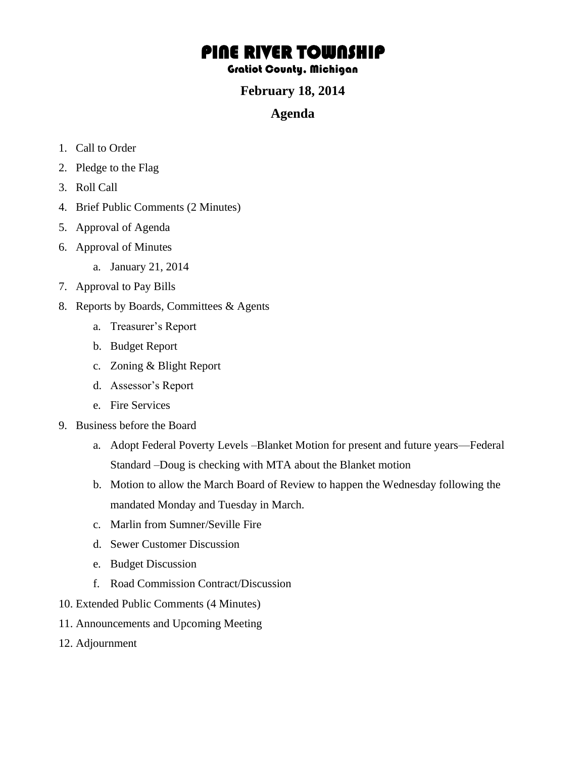# PINE RIVER TOWNSHIP

#### Gratiot County, Michigan

### **February 18, 2014**

#### **Agenda**

- 1. Call to Order
- 2. Pledge to the Flag
- 3. Roll Call
- 4. Brief Public Comments (2 Minutes)
- 5. Approval of Agenda
- 6. Approval of Minutes
	- a. January 21, 2014
- 7. Approval to Pay Bills
- 8. Reports by Boards, Committees & Agents
	- a. Treasurer's Report
	- b. Budget Report
	- c. Zoning & Blight Report
	- d. Assessor's Report
	- e. Fire Services
- 9. Business before the Board
	- a. Adopt Federal Poverty Levels –Blanket Motion for present and future years—Federal Standard –Doug is checking with MTA about the Blanket motion
	- b. Motion to allow the March Board of Review to happen the Wednesday following the mandated Monday and Tuesday in March.
	- c. Marlin from Sumner/Seville Fire
	- d. Sewer Customer Discussion
	- e. Budget Discussion
	- f. Road Commission Contract/Discussion
- 10. Extended Public Comments (4 Minutes)
- 11. Announcements and Upcoming Meeting
- 12. Adjournment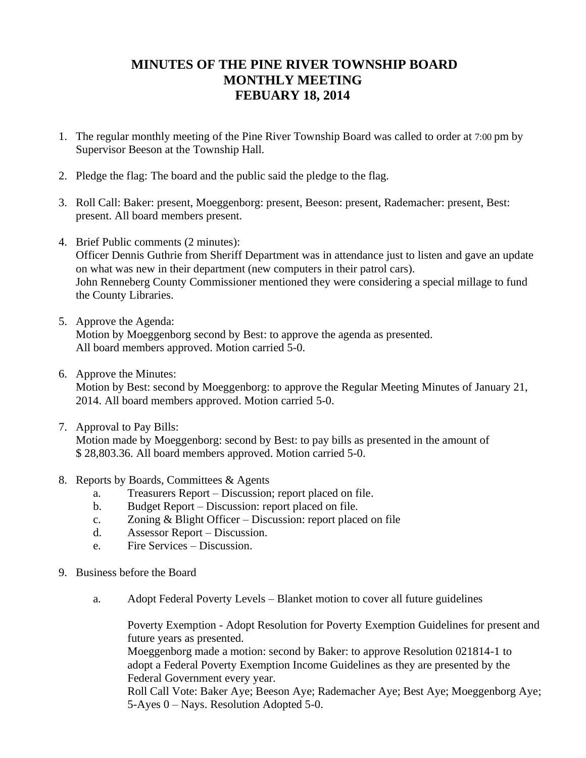## **MINUTES OF THE PINE RIVER TOWNSHIP BOARD MONTHLY MEETING FEBUARY 18, 2014**

- 1. The regular monthly meeting of the Pine River Township Board was called to order at 7:00 pm by Supervisor Beeson at the Township Hall.
- 2. Pledge the flag: The board and the public said the pledge to the flag.
- 3. Roll Call: Baker: present, Moeggenborg: present, Beeson: present, Rademacher: present, Best: present. All board members present.
- 4. Brief Public comments (2 minutes): Officer Dennis Guthrie from Sheriff Department was in attendance just to listen and gave an update on what was new in their department (new computers in their patrol cars). John Renneberg County Commissioner mentioned they were considering a special millage to fund the County Libraries.
- 5. Approve the Agenda:

Motion by Moeggenborg second by Best: to approve the agenda as presented. All board members approved. Motion carried 5-0.

6. Approve the Minutes:

Motion by Best: second by Moeggenborg: to approve the Regular Meeting Minutes of January 21, 2014. All board members approved. Motion carried 5-0.

7. Approval to Pay Bills:

Motion made by Moeggenborg: second by Best: to pay bills as presented in the amount of \$ 28,803.36. All board members approved. Motion carried 5-0.

- 8. Reports by Boards, Committees & Agents
	- a. Treasurers Report Discussion; report placed on file.
	- b. Budget Report Discussion: report placed on file.
	- c. Zoning & Blight Officer Discussion: report placed on file
	- d. Assessor Report Discussion.
	- e. Fire Services Discussion.
- 9. Business before the Board
	- a. Adopt Federal Poverty Levels Blanket motion to cover all future guidelines

Poverty Exemption - Adopt Resolution for Poverty Exemption Guidelines for present and future years as presented.

Moeggenborg made a motion: second by Baker: to approve Resolution 021814-1 to adopt a Federal Poverty Exemption Income Guidelines as they are presented by the Federal Government every year.

Roll Call Vote: Baker Aye; Beeson Aye; Rademacher Aye; Best Aye; Moeggenborg Aye; 5-Ayes 0 – Nays. Resolution Adopted 5-0.